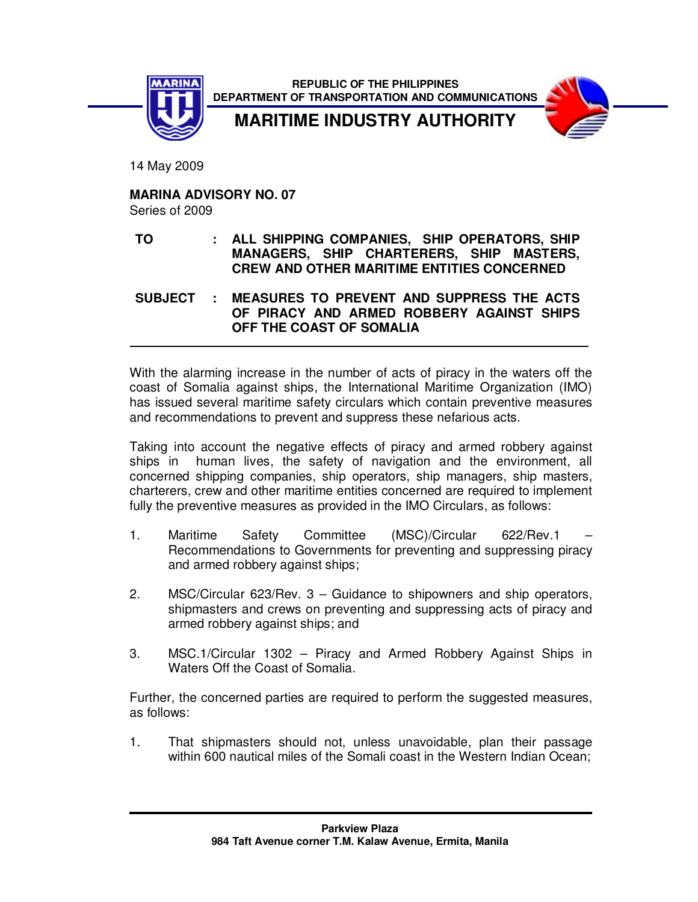

 **REPUBLIC OF THE PHILIPPINES DEPARTMENT OF TRANSPORTATION AND COMMUNICATIONS**



**MARITIME INDUSTRY AUTHORITY** 

14 May 2009

**MARINA ADVISORY NO. 07** 

Series of 2009

**TO : ALL SHIPPING COMPANIES, SHIP OPERATORS, SHIP MANAGERS, SHIP CHARTERERS, SHIP MASTERS, CREW AND OTHER MARITIME ENTITIES CONCERNED** 

**SUBJECT : MEASURES TO PREVENT AND SUPPRESS THE ACTS OF PIRACY AND ARMED ROBBERY AGAINST SHIPS OFF THE COAST OF SOMALIA** 

With the alarming increase in the number of acts of piracy in the waters off the coast of Somalia against ships, the International Maritime Organization (IMO) has issued several maritime safety circulars which contain preventive measures and recommendations to prevent and suppress these nefarious acts.

Taking into account the negative effects of piracy and armed robbery against ships in human lives, the safety of navigation and the environment, all concerned shipping companies, ship operators, ship managers, ship masters, charterers, crew and other maritime entities concerned are required to implement fully the preventive measures as provided in the IMO Circulars, as follows:

- 1. Maritime Safety Committee (MSC)/Circular 622/Rev.1 Recommendations to Governments for preventing and suppressing piracy and armed robbery against ships;
- 2. MSC/Circular 623/Rev. 3 Guidance to shipowners and ship operators, shipmasters and crews on preventing and suppressing acts of piracy and armed robbery against ships; and
- 3. MSC.1/Circular 1302 Piracy and Armed Robbery Against Ships in Waters Off the Coast of Somalia.

Further, the concerned parties are required to perform the suggested measures, as follows:

1. That shipmasters should not, unless unavoidable, plan their passage within 600 nautical miles of the Somali coast in the Western Indian Ocean: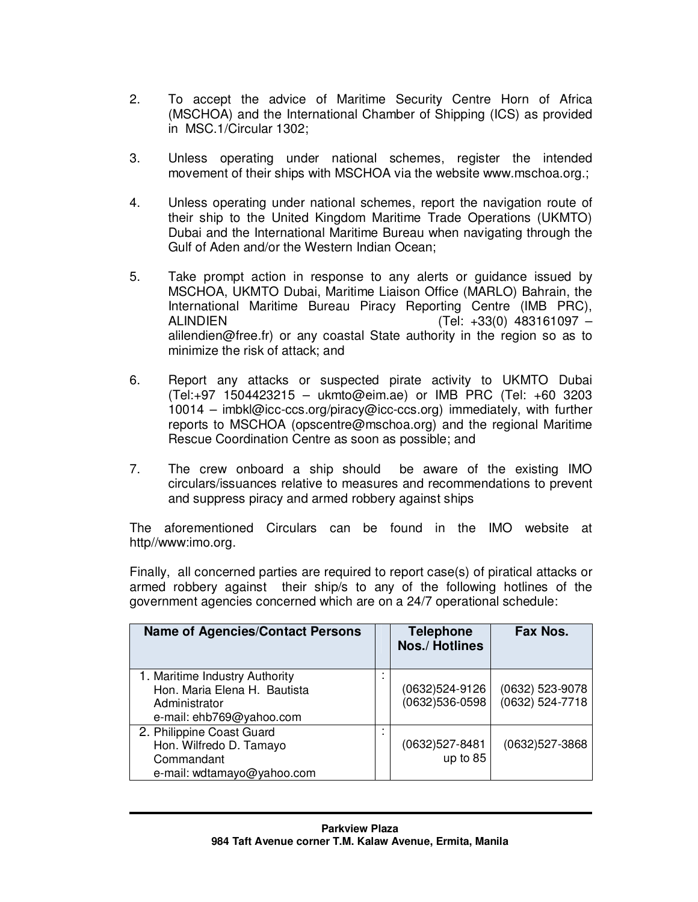- 2. To accept the advice of Maritime Security Centre Horn of Africa (MSCHOA) and the International Chamber of Shipping (ICS) as provided in MSC.1/Circular 1302;
- 3. Unless operating under national schemes, register the intended movement of their ships with MSCHOA via the website www.mschoa.org.;
- 4. Unless operating under national schemes, report the navigation route of their ship to the United Kingdom Maritime Trade Operations (UKMTO) Dubai and the International Maritime Bureau when navigating through the Gulf of Aden and/or the Western Indian Ocean;
- 5. Take prompt action in response to any alerts or guidance issued by MSCHOA, UKMTO Dubai, Maritime Liaison Office (MARLO) Bahrain, the International Maritime Bureau Piracy Reporting Centre (IMB PRC), ALINDIEN (Tel: +33(0) 483161097 – alilendien@free.fr) or any coastal State authority in the region so as to minimize the risk of attack; and
- 6. Report any attacks or suspected pirate activity to UKMTO Dubai (Tel:+97 1504423215 – ukmto@eim.ae) or IMB PRC (Tel: +60 3203 10014 – imbkl@icc-ccs.org/piracy@icc-ccs.org) immediately, with further reports to MSCHOA (opscentre@mschoa.org) and the regional Maritime Rescue Coordination Centre as soon as possible; and
- 7. The crew onboard a ship should be aware of the existing IMO circulars/issuances relative to measures and recommendations to prevent and suppress piracy and armed robbery against ships

The aforementioned Circulars can be found in the IMO website at http//www:imo.org.

Finally, all concerned parties are required to report case(s) of piratical attacks or armed robbery against their ship/s to any of the following hotlines of the government agencies concerned which are on a 24/7 operational schedule:

| <b>Name of Agencies/Contact Persons</b>                                                                     | <b>Telephone</b><br><b>Nos./Hotlines</b> | Fax Nos.                           |
|-------------------------------------------------------------------------------------------------------------|------------------------------------------|------------------------------------|
| 1. Maritime Industry Authority<br>Hon. Maria Elena H. Bautista<br>Administrator<br>e-mail: ehb769@yahoo.com | (0632)524-9126<br>(0632)536-0598         | (0632) 523-9078<br>(0632) 524-7718 |
| 2. Philippine Coast Guard<br>Hon. Wilfredo D. Tamayo<br>Commandant<br>e-mail: wdtamayo@yahoo.com            | (0632)527-8481<br>up to 85               | (0632)527-3868                     |